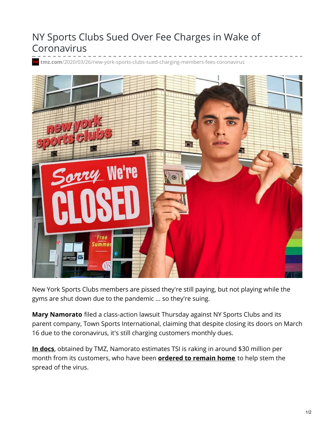## NY Sports Clubs Sued Over Fee Charges in Wake of Coronavirus

**tmz.com**[/2020/03/26/new-york-sports-clubs-sued-charging-members-fees-coronavirus](https://www.tmz.com/2020/03/26/new-york-sports-clubs-sued-charging-members-fees-coronavirus/)



New York Sports Clubs members are pissed they're still paying, but not playing while the gyms are shut down due to the pandemic ... so they're suing.

**Mary Namorato** filed a class-action lawsuit Thursday against NY Sports Clubs and its parent company, Town Sports International, claiming that despite closing its doors on March 16 due to the coronavirus, it's still charging customers monthly dues.

**In [docs](https://dam.tmz.com/document/76/o/2020/03/26/76f2d588563a41c886c87d3247040a04.pdf)**, obtained by TMZ, Namorato estimates TSI is raking in around \$30 million per month from its customers, who have been **[ordered](https://www.tmz.com/2020/03/20/new-york-state-on-pause-coronavirus-shutdown-lockdown-essential-business/) to remain home** to help stem the spread of the virus.